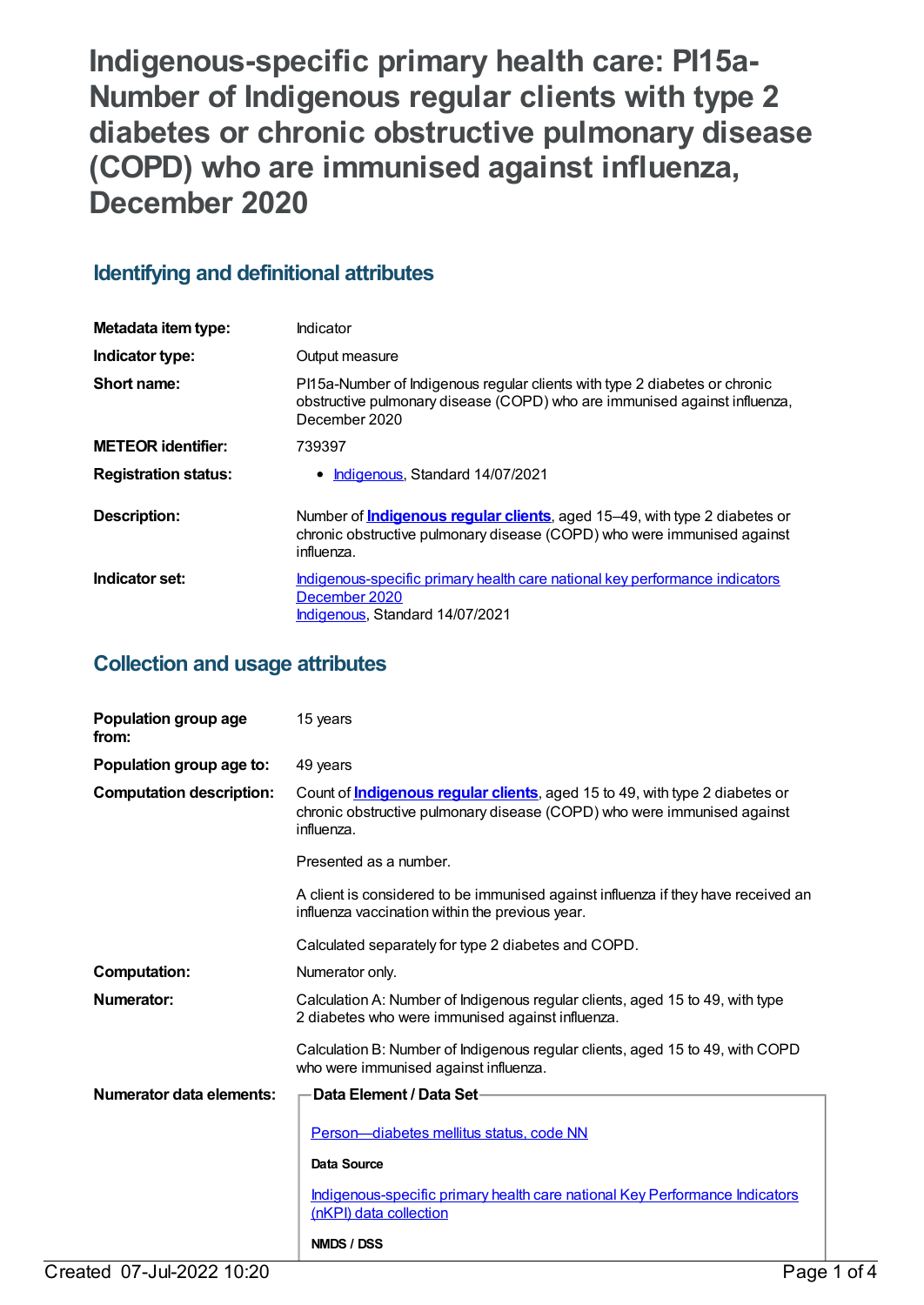**Indigenous-specific primary health care: PI15a-Number of Indigenous regular clients with type 2 diabetes or chronic obstructive pulmonary disease (COPD) who are immunised against influenza, December 2020**

## **Identifying and definitional attributes**

| Metadata item type:         | Indicator                                                                                                                                                                  |
|-----------------------------|----------------------------------------------------------------------------------------------------------------------------------------------------------------------------|
| Indicator type:             | Output measure                                                                                                                                                             |
| Short name:                 | PI15a-Number of Indigenous regular clients with type 2 diabetes or chronic<br>obstructive pulmonary disease (COPD) who are immunised against influenza,<br>December 2020   |
| <b>METEOR</b> identifier:   | 739397                                                                                                                                                                     |
| <b>Registration status:</b> | Indigenous, Standard 14/07/2021                                                                                                                                            |
| Description:                | Number of <i>Indigenous regular clients</i> , aged 15-49, with type 2 diabetes or<br>chronic obstructive pulmonary disease (COPD) who were immunised against<br>influenza. |
| Indicator set:              | Indigenous-specific primary health care national key performance indicators<br>December 2020<br>Indigenous, Standard 14/07/2021                                            |

## **Collection and usage attributes**

| Population group age<br>from:   | 15 years                                                                                                                                                                     |  |
|---------------------------------|------------------------------------------------------------------------------------------------------------------------------------------------------------------------------|--|
| Population group age to:        | 49 years                                                                                                                                                                     |  |
| <b>Computation description:</b> | Count of <b>Indigenous regular clients</b> , aged 15 to 49, with type 2 diabetes or<br>chronic obstructive pulmonary disease (COPD) who were immunised against<br>influenza. |  |
|                                 | Presented as a number.                                                                                                                                                       |  |
|                                 | A client is considered to be immunised against influenza if they have received an<br>influenza vaccination within the previous year.                                         |  |
|                                 | Calculated separately for type 2 diabetes and COPD.                                                                                                                          |  |
| <b>Computation:</b>             | Numerator only.                                                                                                                                                              |  |
| Numerator:                      | Calculation A: Number of Indigenous regular clients, aged 15 to 49, with type<br>2 diabetes who were immunised against influenza.                                            |  |
|                                 | Calculation B: Number of Indigenous regular clients, aged 15 to 49, with COPD<br>who were immunised against influenza.                                                       |  |
| <b>Numerator data elements:</b> | Data Element / Data Set-                                                                                                                                                     |  |
|                                 | Person—diabetes mellitus status, code NN                                                                                                                                     |  |
|                                 | <b>Data Source</b>                                                                                                                                                           |  |
|                                 | Indigenous-specific primary health care national Key Performance Indicators<br>(nKPI) data collection                                                                        |  |
|                                 | NMDS / DSS                                                                                                                                                                   |  |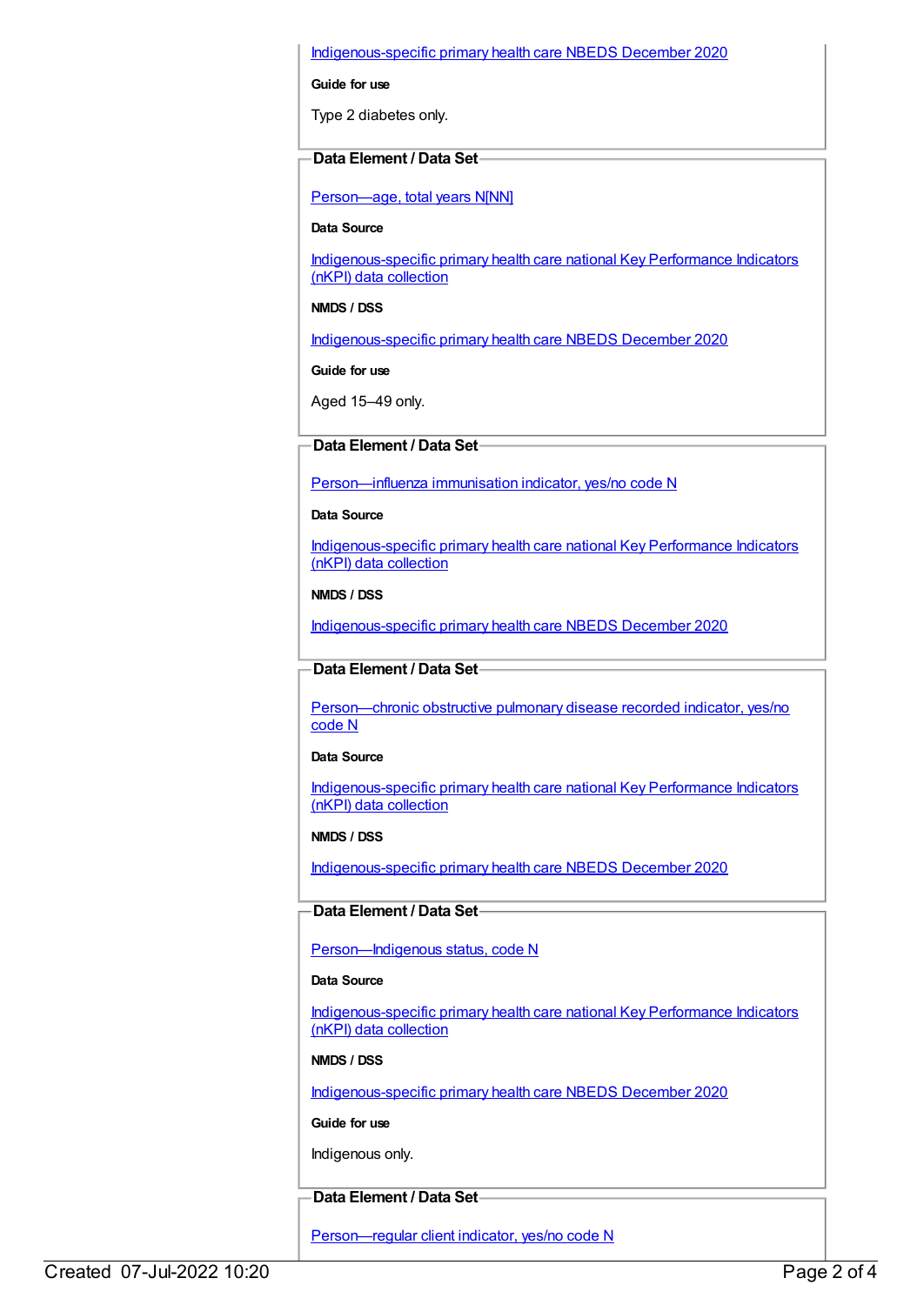#### [Indigenous-specific](https://meteor.aihw.gov.au/content/738532) primary health care NBEDS December 2020

**Guide for use**

Type 2 diabetes only.

#### **Data Element / Data Set**

[Person—age,](https://meteor.aihw.gov.au/content/303794) total years N[NN]

**Data Source**

[Indigenous-specific](https://meteor.aihw.gov.au/content/737914) primary health care national Key Performance Indicators (nKPI) data collection

**NMDS / DSS**

[Indigenous-specific](https://meteor.aihw.gov.au/content/738532) primary health care NBEDS December 2020

**Guide for use**

Aged 15–49 only.

#### **Data Element / Data Set**

[Person—influenza](https://meteor.aihw.gov.au/content/457688) immunisation indicator, yes/no code N

**Data Source**

[Indigenous-specific](https://meteor.aihw.gov.au/content/737914) primary health care national Key Performance Indicators (nKPI) data collection

**NMDS / DSS**

[Indigenous-specific](https://meteor.aihw.gov.au/content/738532) primary health care NBEDS December 2020

#### **Data Element / Data Set**

[Person—chronic](https://meteor.aihw.gov.au/content/464928) obstructive pulmonary disease recorded indicator, yes/no code N

**Data Source**

[Indigenous-specific](https://meteor.aihw.gov.au/content/737914) primary health care national Key Performance Indicators (nKPI) data collection

**NMDS / DSS**

[Indigenous-specific](https://meteor.aihw.gov.au/content/738532) primary health care NBEDS December 2020

#### **Data Element / Data Set**

Person-Indigenous status, code N

#### **Data Source**

[Indigenous-specific](https://meteor.aihw.gov.au/content/737914) primary health care national Key Performance Indicators (nKPI) data collection

**NMDS / DSS**

[Indigenous-specific](https://meteor.aihw.gov.au/content/738532) primary health care NBEDS December 2020

**Guide for use**

Indigenous only.

### **Data Element / Data Set**

[Person—regular](https://meteor.aihw.gov.au/content/686291) client indicator, yes/no code N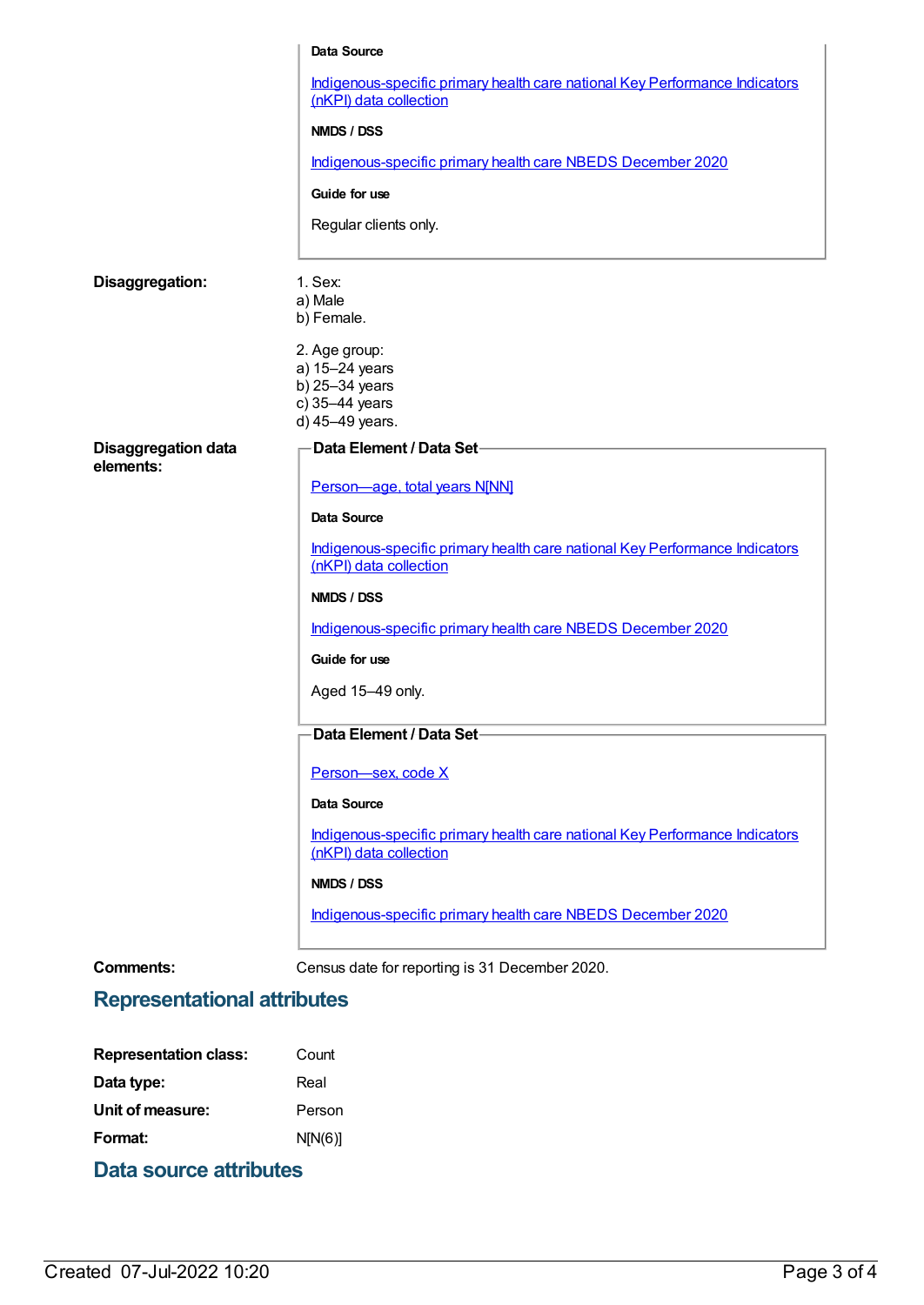|                                         | Data Source                                                                                           |
|-----------------------------------------|-------------------------------------------------------------------------------------------------------|
|                                         | Indigenous-specific primary health care national Key Performance Indicators<br>(nKPI) data collection |
|                                         | NMDS / DSS                                                                                            |
|                                         | Indigenous-specific primary health care NBEDS December 2020                                           |
|                                         | Guide for use                                                                                         |
|                                         | Regular clients only.                                                                                 |
| Disaggregation:                         | 1. Sex:                                                                                               |
|                                         | a) Male                                                                                               |
|                                         | b) Female.                                                                                            |
|                                         | 2. Age group:<br>a) 15-24 years                                                                       |
|                                         | b) 25-34 years                                                                                        |
|                                         | c) 35-44 years<br>d) 45-49 years.                                                                     |
| <b>Disaggregation data</b><br>elements: | Data Element / Data Set                                                                               |
|                                         | Person-age, total years N[NN]                                                                         |
|                                         | Data Source                                                                                           |
|                                         | Indigenous-specific primary health care national Key Performance Indicators<br>(nKPI) data collection |
|                                         | NMDS / DSS                                                                                            |
|                                         | Indigenous-specific primary health care NBEDS December 2020                                           |
|                                         | Guide for use                                                                                         |
|                                         | Aged 15-49 only.                                                                                      |
|                                         | Data Element / Data Set-                                                                              |
|                                         | Person-sex, code X                                                                                    |
|                                         | Data Source                                                                                           |
|                                         | Indigenous-specific primary health care national Key Performance Indicators<br>(nKPI) data collection |
|                                         | NMDS / DSS                                                                                            |
|                                         | Indigenous-specific primary health care NBEDS December 2020                                           |
| <b>Comments:</b>                        | Census date for reporting is 31 December 2020.                                                        |

# **Representational attributes**

| <b>Representation class:</b> | Count   |
|------------------------------|---------|
| Data type:                   | Real    |
| Unit of measure:             | Person  |
| Format:                      | N[N(6)] |
|                              |         |

## **Data source attributes**